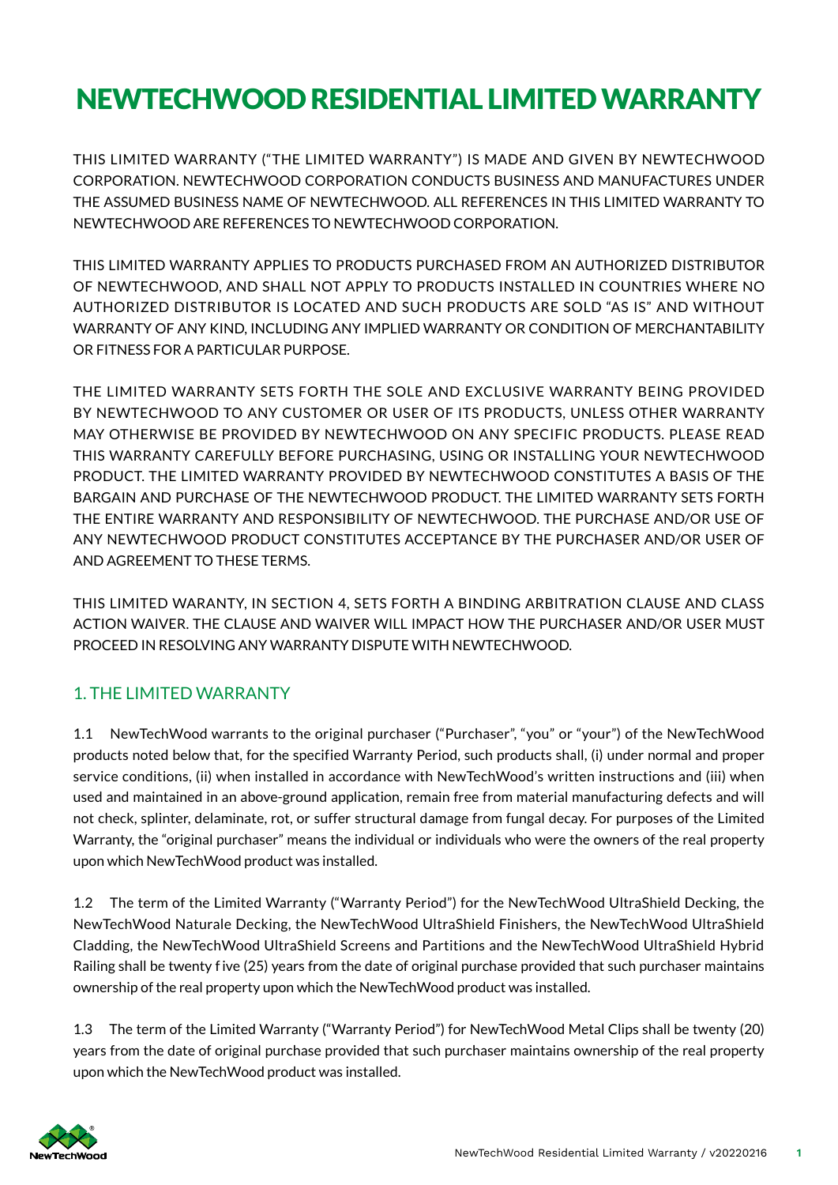# NEWTECHWOOD RESIDENTIAL LIMITED WARRANTY

THIS LIMITED WARRANTY ("THE LIMITED WARRANTY") IS MADE AND GIVEN BY NEWTECHWOOD CORPORATION. NEWTECHWOOD CORPORATION CONDUCTS BUSINESS AND MANUFACTURES UNDER THE ASSUMED BUSINESS NAME OF NEWTECHWOOD. ALL REFERENCES IN THIS LIMITED WARRANTY TO NEWTECHWOOD ARE REFERENCES TO NEWTECHWOOD CORPORATION.

THIS LIMITED WARRANTY APPLIES TO PRODUCTS PURCHASED FROM AN AUTHORIZED DISTRIBUTOR OF NEWTECHWOOD, AND SHALL NOT APPLY TO PRODUCTS INSTALLED IN COUNTRIES WHERE NO AUTHORIZED DISTRIBUTOR IS LOCATED AND SUCH PRODUCTS ARE SOLD "AS IS" AND WITHOUT WARRANTY OF ANY KIND, INCLUDING ANY IMPLIED WARRANTY OR CONDITION OF MERCHANTABILITY OR FITNESS FOR A PARTICULAR PURPOSE.

THE LIMITED WARRANTY SETS FORTH THE SOLE AND EXCLUSIVE WARRANTY BEING PROVIDED BY NEWTECHWOOD TO ANY CUSTOMER OR USER OF ITS PRODUCTS, UNLESS OTHER WARRANTY MAY OTHERWISE BE PROVIDED BY NEWTECHWOOD ON ANY SPECIFIC PRODUCTS. PLEASE READ THIS WARRANTY CAREFULLY BEFORE PURCHASING, USING OR INSTALLING YOUR NEWTECHWOOD PRODUCT. THE LIMITED WARRANTY PROVIDED BY NEWTECHWOOD CONSTITUTES A BASIS OF THE BARGAIN AND PURCHASE OF THE NEWTECHWOOD PRODUCT. THE LIMITED WARRANTY SETS FORTH THE ENTIRE WARRANTY AND RESPONSIBILITY OF NEWTECHWOOD. THE PURCHASE AND/OR USE OF ANY NEWTECHWOOD PRODUCT CONSTITUTES ACCEPTANCE BY THE PURCHASER AND/OR USER OF AND AGREEMENT TO THESE TERMS.

THIS LIMITED WARANTY, IN SECTION 4, SETS FORTH A BINDING ARBITRATION CLAUSE AND CLASS ACTION WAIVER. THE CLAUSE AND WAIVER WILL IMPACT HOW THE PURCHASER AND/OR USER MUST PROCEED IN RESOLVING ANY WARRANTY DISPUTE WITH NEWTECHWOOD.

# 1. THE LIMITED WARRANTY

1.1 NewTechWood warrants to the original purchaser ("Purchaser", "you" or "your") of the NewTechWood products noted below that, for the specified Warranty Period, such products shall, (i) under normal and proper service conditions, (ii) when installed in accordance with NewTechWood's written instructions and (iii) when used and maintained in an above-ground application, remain free from material manufacturing defects and will not check, splinter, delaminate, rot, or suffer structural damage from fungal decay. For purposes of the Limited Warranty, the "original purchaser" means the individual or individuals who were the owners of the real property upon which NewTechWood product was installed.

1.2 The term of the Limited Warranty ("Warranty Period") for the NewTechWood UltraShield Decking, the NewTechWood Naturale Decking, the NewTechWood UltraShield Finishers, the NewTechWood UltraShield Cladding, the NewTechWood UltraShield Screens and Partitions and the NewTechWood UltraShield Hybrid Railing shall be twenty f ive (25) years from the date of original purchase provided that such purchaser maintains ownership of the real property upon which the NewTechWood product was installed.

1.3 The term of the Limited Warranty ("Warranty Period") for NewTechWood Metal Clips shall be twenty (20) years from the date of original purchase provided that such purchaser maintains ownership of the real property upon which the NewTechWood product was installed.

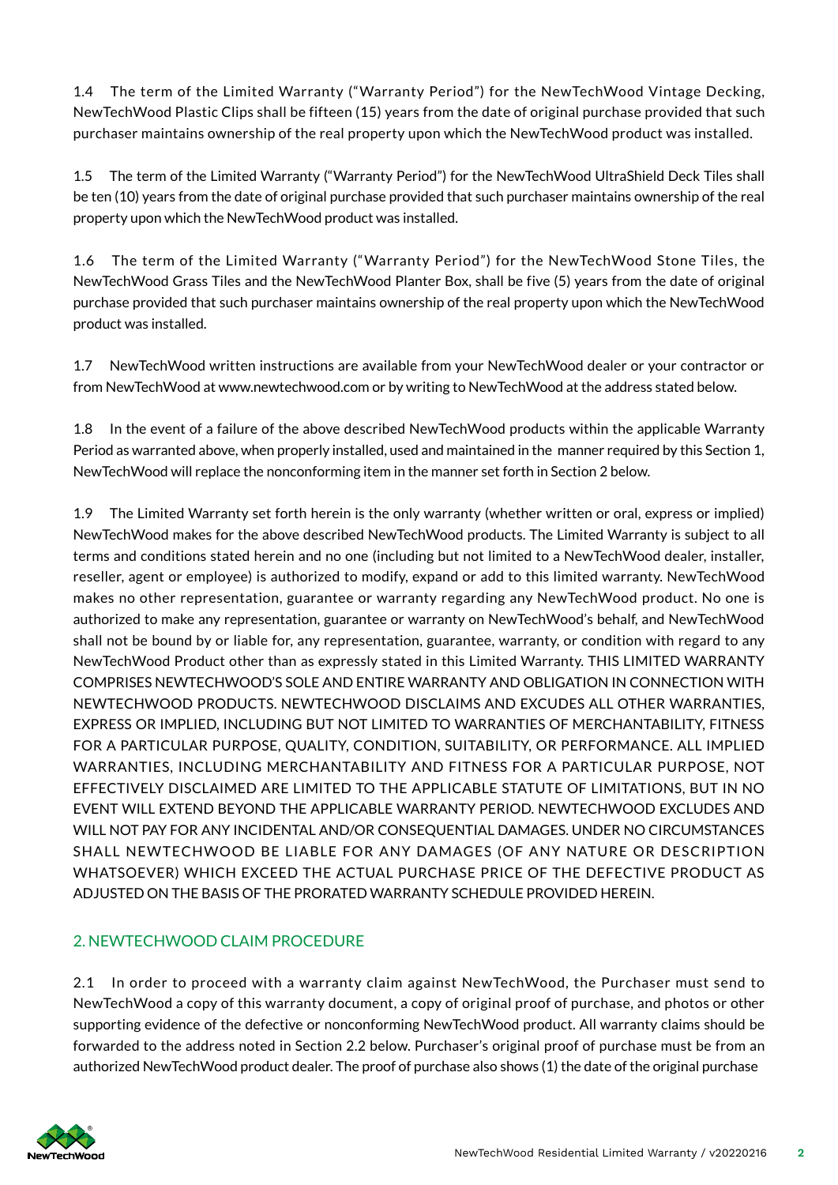1.4 The term of the Limited Warranty ("Warranty Period") for the NewTechWood Vintage Decking, NewTechWood Plastic Clips shall be fifteen (15) years from the date of original purchase provided that such purchaser maintains ownership of the real property upon which the NewTechWood product was installed.

1.5 The term of the Limited Warranty ("Warranty Period") for the NewTechWood UltraShield Deck Tiles shall be ten (10) years from the date of original purchase provided that such purchaser maintains ownership of the real property upon which the NewTechWood product was installed.

1.6 The term of the Limited Warranty ("Warranty Period") for the NewTechWood Stone Tiles, the NewTechWood Grass Tiles and the NewTechWood Planter Box, shall be five (5) years from the date of original purchase provided that such purchaser maintains ownership of the real property upon which the NewTechWood product was installed.

1.7 NewTechWood written instructions are available from your NewTechWood dealer or your contractor or from NewTechWood at www.newtechwood.com or by writing to NewTechWood at the address stated below.

1.8 In the event of a failure of the above described NewTechWood products within the applicable Warranty Period as warranted above, when properly installed, used and maintained in the manner required by this Section 1, NewTechWood will replace the nonconforming item in the manner set forth in Section 2 below.

1.9 The Limited Warranty set forth herein is the only warranty (whether written or oral, express or implied) NewTechWood makes for the above described NewTechWood products. The Limited Warranty is subject to all terms and conditions stated herein and no one (including but not limited to a NewTechWood dealer, installer, reseller, agent or employee) is authorized to modify, expand or add to this limited warranty. NewTechWood makes no other representation, guarantee or warranty regarding any NewTechWood product. No one is authorized to make any representation, guarantee or warranty on NewTechWood's behalf, and NewTechWood shall not be bound by or liable for, any representation, guarantee, warranty, or condition with regard to any NewTechWood Product other than as expressly stated in this Limited Warranty. THIS LIMITED WARRANTY COMPRISES NEWTECHWOOD'S SOLE AND ENTIRE WARRANTY AND OBLIGATION IN CONNECTION WITH NEWTECHWOOD PRODUCTS. NEWTECHWOOD DISCLAIMS AND EXCUDES ALL OTHER WARRANTIES, EXPRESS OR IMPLIED, INCLUDING BUT NOT LIMITED TO WARRANTIES OF MERCHANTABILITY, FITNESS FOR A PARTICULAR PURPOSE, QUALITY, CONDITION, SUITABILITY, OR PERFORMANCE. ALL IMPLIED WARRANTIES, INCLUDING MERCHANTABILITY AND FITNESS FOR A PARTICULAR PURPOSE, NOT EFFECTIVELY DISCLAIMED ARE LIMITED TO THE APPLICABLE STATUTE OF LIMITATIONS, BUT IN NO EVENT WILL EXTEND BEYOND THE APPLICABLE WARRANTY PERIOD. NEWTECHWOOD EXCLUDES AND WILL NOT PAY FOR ANY INCIDENTAL AND/OR CONSEQUENTIAL DAMAGES. UNDER NO CIRCUMSTANCES SHALL NEWTECHWOOD BE LIABLE FOR ANY DAMAGES (OF ANY NATURE OR DESCRIPTION WHATSOEVER) WHICH EXCEED THE ACTUAL PURCHASE PRICE OF THE DEFECTIVE PRODUCT AS ADJUSTED ON THE BASIS OF THE PRORATED WARRANTY SCHEDULE PROVIDED HEREIN.

### 2. NEWTECHWOOD CLAIM PROCEDURE

2.1 In order to proceed with a warranty claim against NewTechWood, the Purchaser must send to NewTechWood a copy of this warranty document, a copy of original proof of purchase, and photos or other supporting evidence of the defective or nonconforming NewTechWood product. All warranty claims should be forwarded to the address noted in Section 2.2 below. Purchaser's original proof of purchase must be from an authorized NewTechWood product dealer. The proof of purchase also shows (1) the date of the original purchase

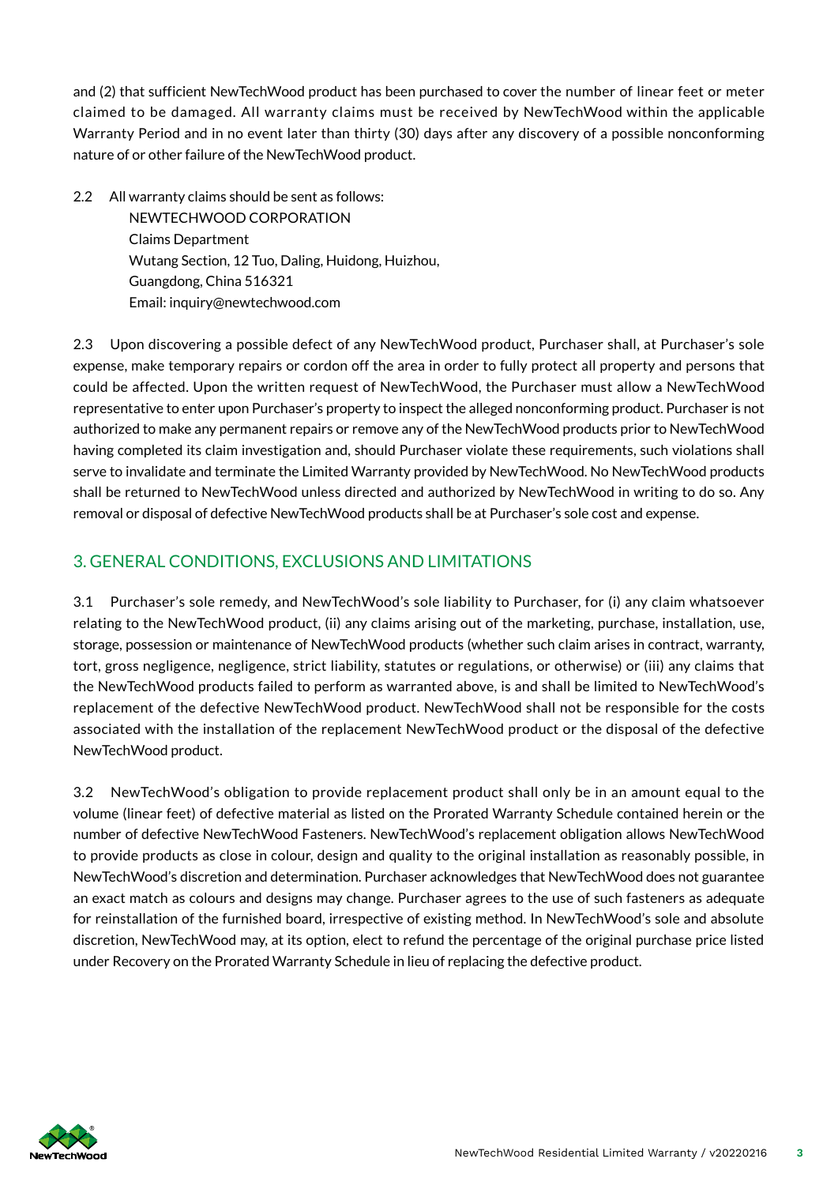and (2) that sufficient NewTechWood product has been purchased to cover the number of linear feet or meter claimed to be damaged. All warranty claims must be received by NewTechWood within the applicable Warranty Period and in no event later than thirty (30) days after any discovery of a possible nonconforming nature of or other failure of the NewTechWood product.

2.2 All warranty claims should be sent as follows: NEWTECHWOOD CORPORATION Claims Department Wutang Section, 12 Tuo, Daling, Huidong, Huizhou, Guangdong, China 516321 Email: inquiry@newtechwood.com

2.3 Upon discovering a possible defect of any NewTechWood product, Purchaser shall, at Purchaser's sole expense, make temporary repairs or cordon off the area in order to fully protect all property and persons that could be affected. Upon the written request of NewTechWood, the Purchaser must allow a NewTechWood representative to enter upon Purchaser's property to inspect the alleged nonconforming product. Purchaser is not authorized to make any permanent repairs or remove any of the NewTechWood products prior to NewTechWood having completed its claim investigation and, should Purchaser violate these requirements, such violations shall serve to invalidate and terminate the Limited Warranty provided by NewTechWood. No NewTechWood products shall be returned to NewTechWood unless directed and authorized by NewTechWood in writing to do so. Any removal or disposal of defective NewTechWood products shall be at Purchaser's sole cost and expense.

## 3. GENERAL CONDITIONS, EXCLUSIONS AND LIMITATIONS

3.1 Purchaser's sole remedy, and NewTechWood's sole liability to Purchaser, for (i) any claim whatsoever relating to the NewTechWood product, (ii) any claims arising out of the marketing, purchase, installation, use, storage, possession or maintenance of NewTechWood products (whether such claim arises in contract, warranty, tort, gross negligence, negligence, strict liability, statutes or regulations, or otherwise) or (iii) any claims that the NewTechWood products failed to perform as warranted above, is and shall be limited to NewTechWood's replacement of the defective NewTechWood product. NewTechWood shall not be responsible for the costs associated with the installation of the replacement NewTechWood product or the disposal of the defective NewTechWood product.

3.2 NewTechWood's obligation to provide replacement product shall only be in an amount equal to the volume (linear feet) of defective material as listed on the Prorated Warranty Schedule contained herein or the number of defective NewTechWood Fasteners. NewTechWood's replacement obligation allows NewTechWood to provide products as close in colour, design and quality to the original installation as reasonably possible, in NewTechWood's discretion and determination. Purchaser acknowledges that NewTechWood does not guarantee an exact match as colours and designs may change. Purchaser agrees to the use of such fasteners as adequate for reinstallation of the furnished board, irrespective of existing method. In NewTechWood's sole and absolute discretion, NewTechWood may, at its option, elect to refund the percentage of the original purchase price listed under Recovery on the Prorated Warranty Schedule in lieu of replacing the defective product.

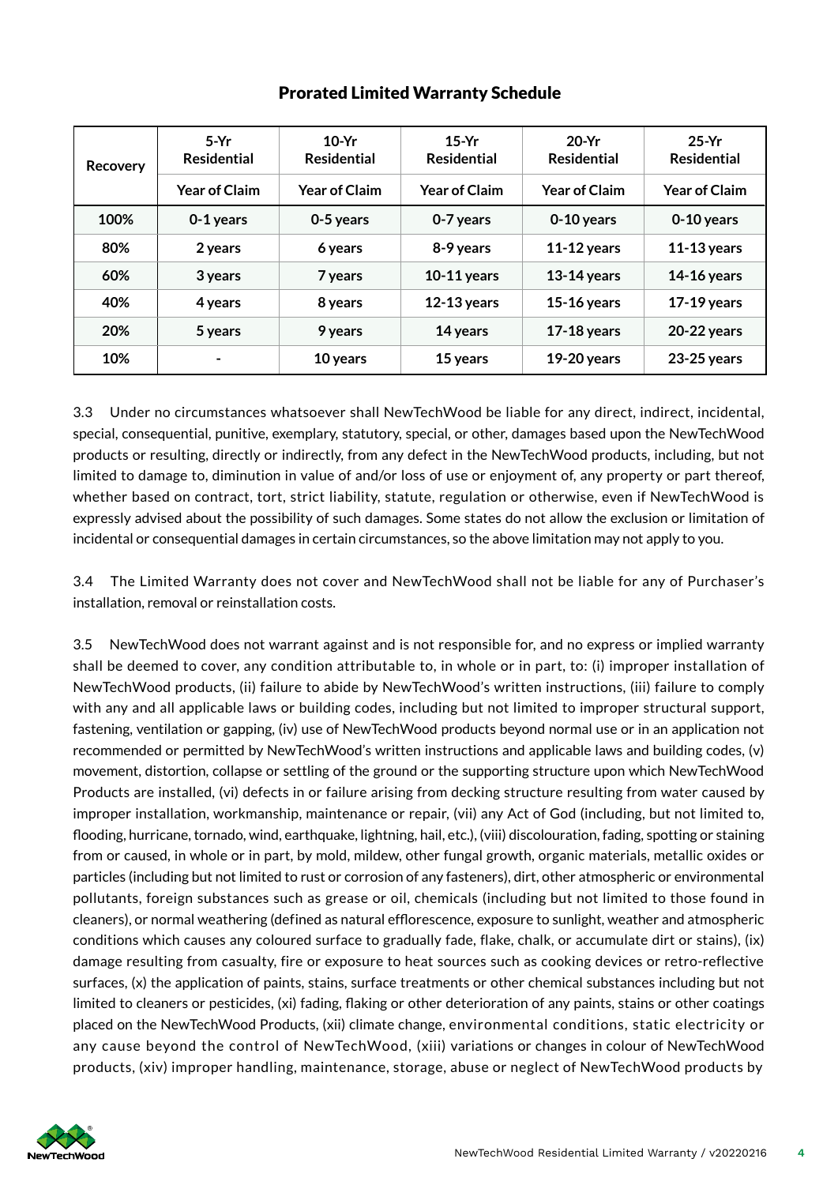| Recovery | $5-Yr$<br><b>Residential</b> | $10-Yr$<br><b>Residential</b> | $15-Yr$<br><b>Residential</b> | $20-Yr$<br><b>Residential</b> | $25-Yr$<br><b>Residential</b> |
|----------|------------------------------|-------------------------------|-------------------------------|-------------------------------|-------------------------------|
|          | <b>Year of Claim</b>         | <b>Year of Claim</b>          | <b>Year of Claim</b>          | <b>Year of Claim</b>          | <b>Year of Claim</b>          |
| 100%     | 0-1 years                    | 0-5 years                     | 0-7 years                     | 0-10 years                    | 0-10 years                    |
| 80%      | 2 years                      | 6 years                       | 8-9 years                     | $11-12$ years                 | $11-13$ years                 |
| 60%      | 3 years                      | 7 years                       | $10-11$ years                 | $13-14$ years                 | $14-16$ years                 |
| 40%      | 4 years                      | 8 years                       | $12-13$ years                 | $15-16$ years                 | $17-19$ years                 |
| 20%      | 5 years                      | 9 years                       | 14 years                      | $17-18$ years                 | 20-22 years                   |
| 10%      |                              | 10 years                      | 15 years                      | $19-20$ years                 | $23-25$ years                 |

### Prorated Limited Warranty Schedule

3.3 Under no circumstances whatsoever shall NewTechWood be liable for any direct, indirect, incidental, special, consequential, punitive, exemplary, statutory, special, or other, damages based upon the NewTechWood products or resulting, directly or indirectly, from any defect in the NewTechWood products, including, but not limited to damage to, diminution in value of and/or loss of use or enjoyment of, any property or part thereof, whether based on contract, tort, strict liability, statute, regulation or otherwise, even if NewTechWood is expressly advised about the possibility of such damages. Some states do not allow the exclusion or limitation of incidental or consequential damages in certain circumstances, so the above limitation may not apply to you.

3.4 The Limited Warranty does not cover and NewTechWood shall not be liable for any of Purchaser's installation, removal or reinstallation costs.

3.5 NewTechWood does not warrant against and is not responsible for, and no express or implied warranty shall be deemed to cover, any condition attributable to, in whole or in part, to: (i) improper installation of NewTechWood products, (ii) failure to abide by NewTechWood's written instructions, (iii) failure to comply with any and all applicable laws or building codes, including but not limited to improper structural support, fastening, ventilation or gapping, (iv) use of NewTechWood products beyond normal use or in an application not recommended or permitted by NewTechWood's written instructions and applicable laws and building codes, (v) movement, distortion, collapse or settling of the ground or the supporting structure upon which NewTechWood Products are installed, (vi) defects in or failure arising from decking structure resulting from water caused by improper installation, workmanship, maintenance or repair, (vii) any Act of God (including, but not limited to, flooding, hurricane, tornado, wind, earthquake, lightning, hail, etc.), (viii) discolouration, fading, spotting or staining from or caused, in whole or in part, by mold, mildew, other fungal growth, organic materials, metallic oxides or particles (including but not limited to rust or corrosion of any fasteners), dirt, other atmospheric or environmental pollutants, foreign substances such as grease or oil, chemicals (including but not limited to those found in cleaners), or normal weathering (def ined as natural efflorescence, exposure to sunlight, weather and atmospheric conditions which causes any coloured surface to gradually fade, flake, chalk, or accumulate dirt or stains), (ix) damage resulting from casualty, fire or exposure to heat sources such as cooking devices or retro-reflective surfaces, (x) the application of paints, stains, surface treatments or other chemical substances including but not limited to cleaners or pesticides, (xi) fading, flaking or other deterioration of any paints, stains or other coatings placed on the NewTechWood Products, (xii) climate change, environmental conditions, static electricity or any cause beyond the control of NewTechWood, (xiii) variations or changes in colour of NewTechWood products, (xiv) improper handling, maintenance, storage, abuse or neglect of NewTechWood products by

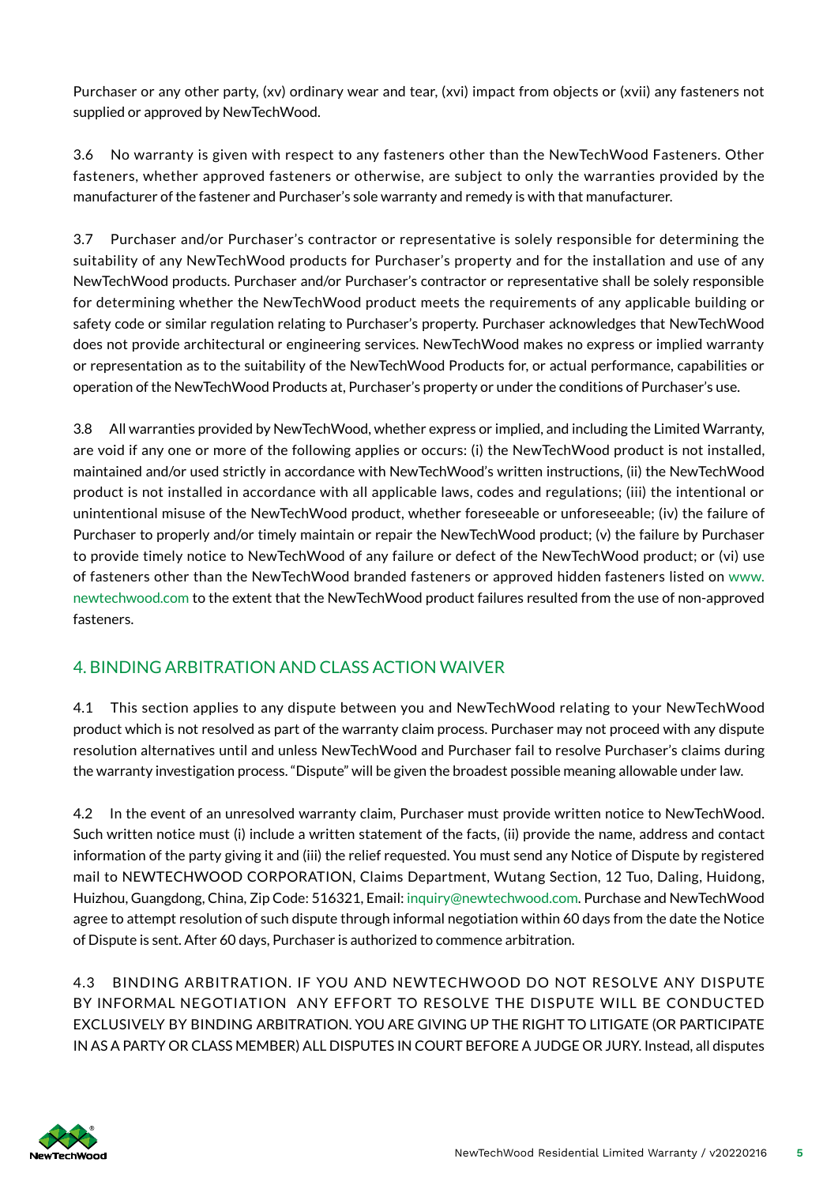Purchaser or any other party, (xv) ordinary wear and tear, (xvi) impact from objects or (xvii) any fasteners not supplied or approved by NewTechWood.

3.6 No warranty is given with respect to any fasteners other than the NewTechWood Fasteners. Other fasteners, whether approved fasteners or otherwise, are subject to only the warranties provided by the manufacturer of the fastener and Purchaser's sole warranty and remedy is with that manufacturer.

3.7 Purchaser and/or Purchaser's contractor or representative is solely responsible for determining the suitability of any NewTechWood products for Purchaser's property and for the installation and use of any NewTechWood products. Purchaser and/or Purchaser's contractor or representative shall be solely responsible for determining whether the NewTechWood product meets the requirements of any applicable building or safety code or similar regulation relating to Purchaser's property. Purchaser acknowledges that NewTechWood does not provide architectural or engineering services. NewTechWood makes no express or implied warranty or representation as to the suitability of the NewTechWood Products for, or actual performance, capabilities or operation of the NewTechWood Products at, Purchaser's property or under the conditions of Purchaser's use.

3.8 All warranties provided by NewTechWood, whether express or implied, and including the Limited Warranty, are void if any one or more of the following applies or occurs: (i) the NewTechWood product is not installed, maintained and/or used strictly in accordance with NewTechWood's written instructions, (ii) the NewTechWood product is not installed in accordance with all applicable laws, codes and regulations; (iii) the intentional or unintentional misuse of the NewTechWood product, whether foreseeable or unforeseeable; (iv) the failure of Purchaser to properly and/or timely maintain or repair the NewTechWood product; (v) the failure by Purchaser to provide timely notice to NewTechWood of any failure or defect of the NewTechWood product; or (vi) use of fasteners other than the NewTechWood branded fasteners or approved hidden fasteners listed on www. newtechwood.com to the extent that the NewTechWood product failures resulted from the use of non-approved fasteners.

# 4. BINDING ARBITRATION AND CLASS ACTION WAIVER

4.1 This section applies to any dispute between you and NewTechWood relating to your NewTechWood product which is not resolved as part of the warranty claim process. Purchaser may not proceed with any dispute resolution alternatives until and unless NewTechWood and Purchaser fail to resolve Purchaser's claims during the warranty investigation process. "Dispute" will be given the broadest possible meaning allowable under law.

4.2 In the event of an unresolved warranty claim, Purchaser must provide written notice to NewTechWood. Such written notice must (i) include a written statement of the facts, (ii) provide the name, address and contact information of the party giving it and (iii) the relief requested. You must send any Notice of Dispute by registered mail to NEWTECHWOOD CORPORATION, Claims Department, Wutang Section, 12 Tuo, Daling, Huidong, Huizhou, Guangdong, China, Zip Code: 516321, Email: inquiry@newtechwood.com. Purchase and NewTechWood agree to attempt resolution of such dispute through informal negotiation within 60 days from the date the Notice of Dispute is sent. After 60 days, Purchaser is authorized to commence arbitration.

4.3 BINDING ARBITRATION. IF YOU AND NEWTECHWOOD DO NOT RESOLVE ANY DISPUTE BY INFORMAL NEGOTIATION ANY EFFORT TO RESOLVE THE DISPUTE WILL BE CONDUCTED EXCLUSIVELY BY BINDING ARBITRATION. YOU ARE GIVING UP THE RIGHT TO LITIGATE (OR PARTICIPATE IN AS A PARTY OR CLASS MEMBER) ALL DISPUTES IN COURT BEFORE A JUDGE OR JURY. Instead, all disputes